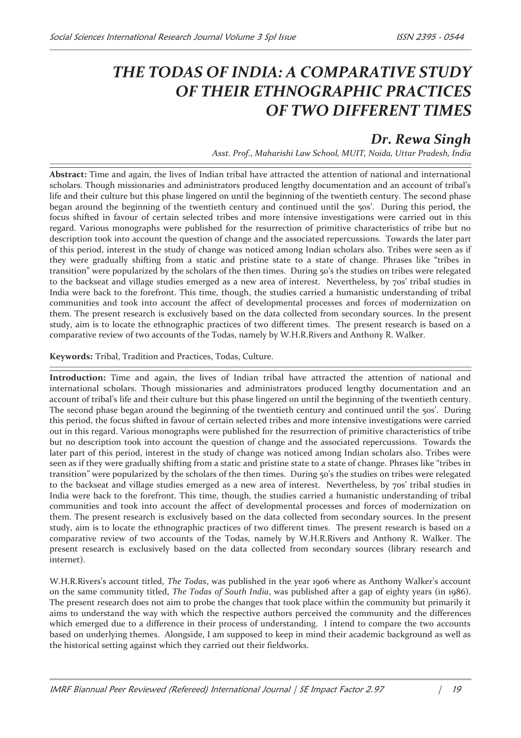## *THE TODAS OF INDIA: A COMPARATIVE STUDY OF THEIR ETHNOGRAPHIC PRACTICES OF TWO DIFFERENT TIMES*

## *Dr. Rewa Singh*

*Asst. Prof., Maharishi Law School, MUIT, Noida, Uttar Pradesh, India*

**Abstract:** Time and again, the lives of Indian tribal have attracted the attention of national and international scholars. Though missionaries and administrators produced lengthy documentation and an account of tribal's life and their culture but this phase lingered on until the beginning of the twentieth century. The second phase began around the beginning of the twentieth century and continued until the 50s'. During this period, the focus shifted in favour of certain selected tribes and more intensive investigations were carried out in this regard. Various monographs were published for the resurrection of primitive characteristics of tribe but no description took into account the question of change and the associated repercussions. Towards the later part of this period, interest in the study of change was noticed among Indian scholars also. Tribes were seen as if they were gradually shifting from a static and pristine state to a state of change. Phrases like "tribes in transition" were popularized by the scholars of the then times. During 50's the studies on tribes were relegated to the backseat and village studies emerged as a new area of interest. Nevertheless, by 70s' tribal studies in India were back to the forefront. This time, though, the studies carried a humanistic understanding of tribal communities and took into account the affect of developmental processes and forces of modernization on them. The present research is exclusively based on the data collected from secondary sources. In the present study, aim is to locate the ethnographic practices of two different times. The present research is based on a comparative review of two accounts of the Todas, namely by W.H.R.Rivers and Anthony R. Walker.

**Keywords:** Tribal, Tradition and Practices, Todas, Culture.

**Introduction:** Time and again, the lives of Indian tribal have attracted the attention of national and international scholars. Though missionaries and administrators produced lengthy documentation and an account of tribal's life and their culture but this phase lingered on until the beginning of the twentieth century. The second phase began around the beginning of the twentieth century and continued until the 50s'. During this period, the focus shifted in favour of certain selected tribes and more intensive investigations were carried out in this regard. Various monographs were published for the resurrection of primitive characteristics of tribe but no description took into account the question of change and the associated repercussions. Towards the later part of this period, interest in the study of change was noticed among Indian scholars also. Tribes were seen as if they were gradually shifting from a static and pristine state to a state of change. Phrases like "tribes in transition" were popularized by the scholars of the then times. During 50's the studies on tribes were relegated to the backseat and village studies emerged as a new area of interest. Nevertheless, by 70s' tribal studies in India were back to the forefront. This time, though, the studies carried a humanistic understanding of tribal communities and took into account the affect of developmental processes and forces of modernization on them. The present research is exclusively based on the data collected from secondary sources. In the present study, aim is to locate the ethnographic practices of two different times. The present research is based on a comparative review of two accounts of the Todas, namely by W.H.R.Rivers and Anthony R. Walker. The present research is exclusively based on the data collected from secondary sources (library research and internet).

W.H.R.Rivers's account titled, *The Todas*, was published in the year 1906 where as Anthony Walker's account on the same community titled, *The Todas of South India*, was published after a gap of eighty years (in 1986). The present research does not aim to probe the changes that took place within the community but primarily it aims to understand the way with which the respective authors perceived the community and the differences which emerged due to a difference in their process of understanding. I intend to compare the two accounts based on underlying themes. Alongside, I am supposed to keep in mind their academic background as well as the historical setting against which they carried out their fieldworks.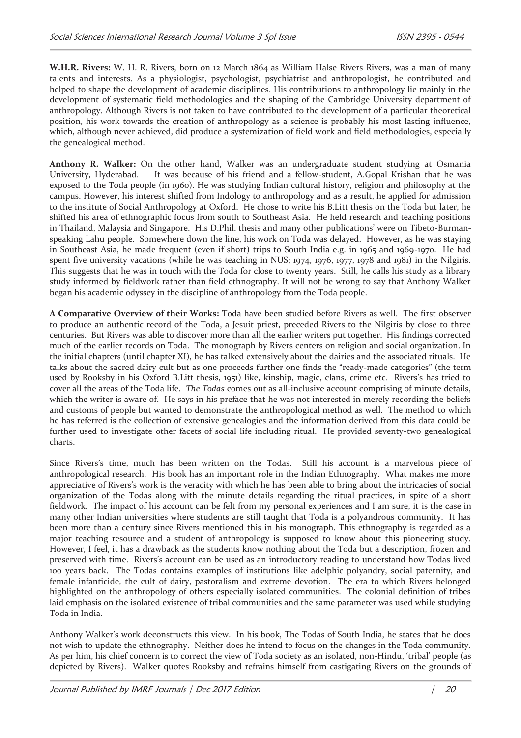**W.H.R. Rivers:** W. H. R. Rivers, born on 12 March 1864 as William Halse Rivers Rivers, was a man of many talents and interests. As a physiologist, psychologist, psychiatrist and anthropologist, he contributed and helped to shape the development of academic disciplines. His contributions to anthropology lie mainly in the development of systematic field methodologies and the shaping of the Cambridge University department of anthropology. Although Rivers is not taken to have contributed to the development of a particular theoretical position, his work towards the creation of anthropology as a science is probably his most lasting influence, which, although never achieved, did produce a systemization of field work and field methodologies, especially the genealogical method.

**Anthony R. Walker:** On the other hand, Walker was an undergraduate student studying at Osmania University, Hyderabad. It was because of his friend and a fellow-student, A.Gopal Krishan that he was exposed to the Toda people (in 1960). He was studying Indian cultural history, religion and philosophy at the campus. However, his interest shifted from Indology to anthropology and as a result, he applied for admission to the institute of Social Anthropology at Oxford. He chose to write his B.Litt thesis on the Toda but later, he shifted his area of ethnographic focus from south to Southeast Asia. He held research and teaching positions in Thailand, Malaysia and Singapore. His D.Phil. thesis and many other publications' were on Tibeto-Burmanspeaking Lahu people. Somewhere down the line, his work on Toda was delayed. However, as he was staying in Southeast Asia, he made frequent (even if short) trips to South India e.g. in 1965 and 1969-1970. He had spent five university vacations (while he was teaching in NUS; 1974, 1976, 1977, 1978 and 1981) in the Nilgiris. This suggests that he was in touch with the Toda for close to twenty years. Still, he calls his study as a library study informed by fieldwork rather than field ethnography. It will not be wrong to say that Anthony Walker began his academic odyssey in the discipline of anthropology from the Toda people.

**A Comparative Overview of their Works:** Toda have been studied before Rivers as well. The first observer to produce an authentic record of the Toda, a Jesuit priest, preceded Rivers to the Nilgiris by close to three centuries. But Rivers was able to discover more than all the earlier writers put together. His findings corrected much of the earlier records on Toda. The monograph by Rivers centers on religion and social organization. In the initial chapters (until chapter XI), he has talked extensively about the dairies and the associated rituals. He talks about the sacred dairy cult but as one proceeds further one finds the "ready-made categories" (the term used by Rooksby in his Oxford B.Litt thesis, 1951) like, kinship, magic, clans, crime etc. Rivers's has tried to cover all the areas of the Toda life. *The Todas* comes out as all-inclusive account comprising of minute details, which the writer is aware of. He says in his preface that he was not interested in merely recording the beliefs and customs of people but wanted to demonstrate the anthropological method as well. The method to which he has referred is the collection of extensive genealogies and the information derived from this data could be further used to investigate other facets of social life including ritual. He provided seventy-two genealogical charts.

Since Rivers's time, much has been written on the Todas. Still his account is a marvelous piece of anthropological research. His book has an important role in the Indian Ethnography. What makes me more appreciative of Rivers's work is the veracity with which he has been able to bring about the intricacies of social organization of the Todas along with the minute details regarding the ritual practices, in spite of a short fieldwork. The impact of his account can be felt from my personal experiences and I am sure, it is the case in many other Indian universities where students are still taught that Toda is a polyandrous community. It has been more than a century since Rivers mentioned this in his monograph. This ethnography is regarded as a major teaching resource and a student of anthropology is supposed to know about this pioneering study. However, I feel, it has a drawback as the students know nothing about the Toda but a description, frozen and preserved with time. Rivers's account can be used as an introductory reading to understand how Todas lived 100 years back. The Todas contains examples of institutions like adelphic polyandry, social paternity, and female infanticide, the cult of dairy, pastoralism and extreme devotion. The era to which Rivers belonged highlighted on the anthropology of others especially isolated communities. The colonial definition of tribes laid emphasis on the isolated existence of tribal communities and the same parameter was used while studying Toda in India.

Anthony Walker's work deconstructs this view. In his book, The Todas of South India, he states that he does not wish to update the ethnography. Neither does he intend to focus on the changes in the Toda community. As per him, his chief concern is to correct the view of Toda society as an isolated, non-Hindu, 'tribal' people (as depicted by Rivers). Walker quotes Rooksby and refrains himself from castigating Rivers on the grounds of